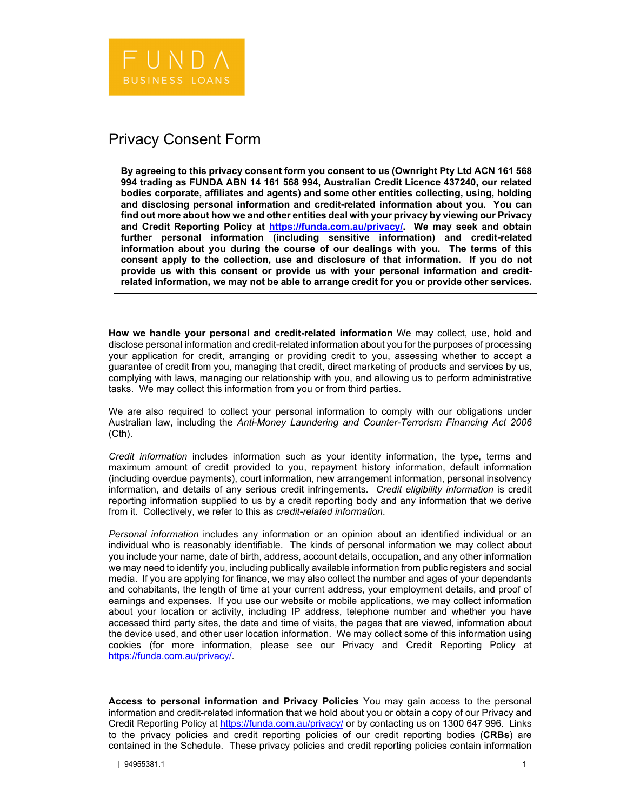## Privacy Consent Form

**By agreeing to this privacy consent form you consent to us (Ownright Pty Ltd ACN 161 568 994 trading as FUNDA ABN 14 161 568 994, Australian Credit Licence 437240, our related bodies corporate, affiliates and agents) and some other entities collecting, using, holding and disclosing personal information and credit-related information about you. You can find out more about how we and other entities deal with your privacy by viewing our Privacy and Credit Reporting Policy at https://funda.com.au/privacy/. We may seek and obtain further personal information (including sensitive information) and credit-related information about you during the course of our dealings with you. The terms of this consent apply to the collection, use and disclosure of that information. If you do not provide us with this consent or provide us with your personal information and creditrelated information, we may not be able to arrange credit for you or provide other services.** 

**How we handle your personal and credit-related information** We may collect, use, hold and disclose personal information and credit-related information about you for the purposes of processing your application for credit, arranging or providing credit to you, assessing whether to accept a guarantee of credit from you, managing that credit, direct marketing of products and services by us, complying with laws, managing our relationship with you, and allowing us to perform administrative tasks. We may collect this information from you or from third parties.

We are also required to collect your personal information to comply with our obligations under Australian law, including the *Anti-Money Laundering and Counter-Terrorism Financing Act 2006* (Cth).

*Credit information* includes information such as your identity information, the type, terms and maximum amount of credit provided to you, repayment history information, default information (including overdue payments), court information, new arrangement information, personal insolvency information, and details of any serious credit infringements. *Credit eligibility information* is credit reporting information supplied to us by a credit reporting body and any information that we derive from it. Collectively, we refer to this as *credit-related information*.

*Personal information* includes any information or an opinion about an identified individual or an individual who is reasonably identifiable. The kinds of personal information we may collect about you include your name, date of birth, address, account details, occupation, and any other information we may need to identify you, including publically available information from public registers and social media. If you are applying for finance, we may also collect the number and ages of your dependants and cohabitants, the length of time at your current address, your employment details, and proof of earnings and expenses. If you use our website or mobile applications, we may collect information about your location or activity, including IP address, telephone number and whether you have accessed third party sites, the date and time of visits, the pages that are viewed, information about the device used, and other user location information. We may collect some of this information using cookies (for more information, please see our Privacy and Credit Reporting Policy at https://funda.com.au/privacy/.

**Access to personal information and Privacy Policies** You may gain access to the personal information and credit-related information that we hold about you or obtain a copy of our Privacy and Credit Reporting Policy at https://funda.com.au/privacy/ or by contacting us on 1300 647 996. Links to the privacy policies and credit reporting policies of our credit reporting bodies (**CRBs**) are contained in the Schedule. These privacy policies and credit reporting policies contain information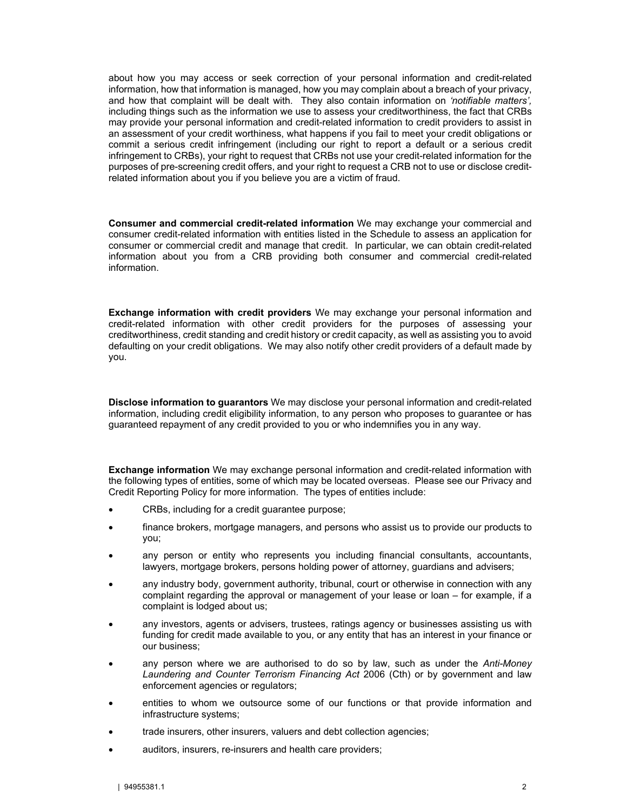about how you may access or seek correction of your personal information and credit-related information, how that information is managed, how you may complain about a breach of your privacy, and how that complaint will be dealt with. They also contain information on *'notifiable matters',* including things such as the information we use to assess your creditworthiness, the fact that CRBs may provide your personal information and credit-related information to credit providers to assist in an assessment of your credit worthiness, what happens if you fail to meet your credit obligations or commit a serious credit infringement (including our right to report a default or a serious credit infringement to CRBs), your right to request that CRBs not use your credit-related information for the purposes of pre-screening credit offers, and your right to request a CRB not to use or disclose creditrelated information about you if you believe you are a victim of fraud.

**Consumer and commercial credit-related information** We may exchange your commercial and consumer credit-related information with entities listed in the Schedule to assess an application for consumer or commercial credit and manage that credit. In particular, we can obtain credit-related information about you from a CRB providing both consumer and commercial credit-related information.

**Exchange information with credit providers** We may exchange your personal information and credit-related information with other credit providers for the purposes of assessing your creditworthiness, credit standing and credit history or credit capacity, as well as assisting you to avoid defaulting on your credit obligations. We may also notify other credit providers of a default made by you.

**Disclose information to guarantors** We may disclose your personal information and credit-related information, including credit eligibility information, to any person who proposes to guarantee or has guaranteed repayment of any credit provided to you or who indemnifies you in any way.

**Exchange information** We may exchange personal information and credit-related information with the following types of entities, some of which may be located overseas. Please see our Privacy and Credit Reporting Policy for more information. The types of entities include:

- CRBs, including for a credit guarantee purpose;
- finance brokers, mortgage managers, and persons who assist us to provide our products to you;
- any person or entity who represents you including financial consultants, accountants, lawyers, mortgage brokers, persons holding power of attorney, guardians and advisers;
- any industry body, government authority, tribunal, court or otherwise in connection with any complaint regarding the approval or management of your lease or loan – for example, if a complaint is lodged about us;
- any investors, agents or advisers, trustees, ratings agency or businesses assisting us with funding for credit made available to you, or any entity that has an interest in your finance or our business;
- any person where we are authorised to do so by law, such as under the *Anti-Money Laundering and Counter Terrorism Financing Act* 2006 (Cth) or by government and law enforcement agencies or regulators;
- entities to whom we outsource some of our functions or that provide information and infrastructure systems;
- trade insurers, other insurers, valuers and debt collection agencies;
- auditors, insurers, re-insurers and health care providers;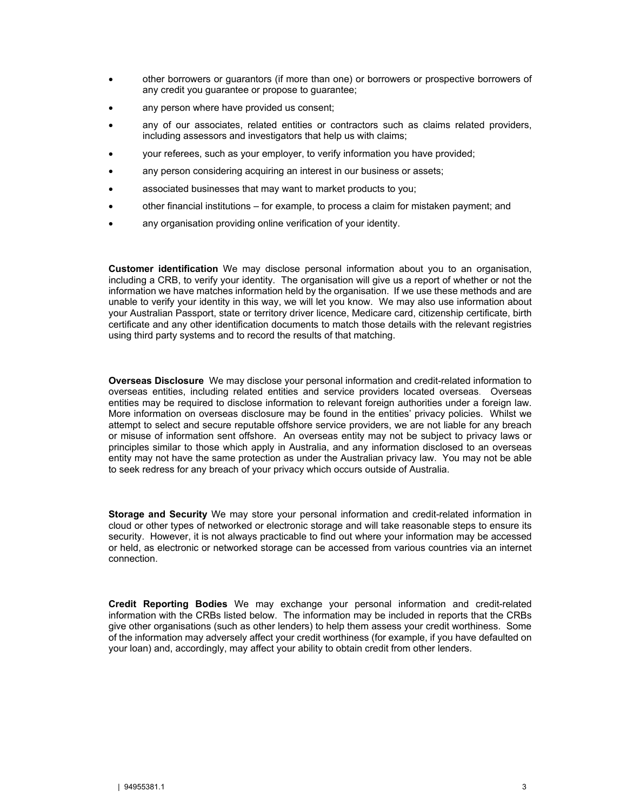- other borrowers or guarantors (if more than one) or borrowers or prospective borrowers of any credit you guarantee or propose to guarantee;
- any person where have provided us consent;
- any of our associates, related entities or contractors such as claims related providers, including assessors and investigators that help us with claims;
- your referees, such as your employer, to verify information you have provided;
- any person considering acquiring an interest in our business or assets;
- associated businesses that may want to market products to you;
- other financial institutions for example, to process a claim for mistaken payment; and
- any organisation providing online verification of your identity.

**Customer identification** We may disclose personal information about you to an organisation, including a CRB, to verify your identity. The organisation will give us a report of whether or not the information we have matches information held by the organisation. If we use these methods and are unable to verify your identity in this way, we will let you know. We may also use information about your Australian Passport, state or territory driver licence, Medicare card, citizenship certificate, birth certificate and any other identification documents to match those details with the relevant registries using third party systems and to record the results of that matching.

**Overseas Disclosure** We may disclose your personal information and credit-related information to overseas entities, including related entities and service providers located overseas. Overseas entities may be required to disclose information to relevant foreign authorities under a foreign law. More information on overseas disclosure may be found in the entities' privacy policies. Whilst we attempt to select and secure reputable offshore service providers, we are not liable for any breach or misuse of information sent offshore. An overseas entity may not be subject to privacy laws or principles similar to those which apply in Australia, and any information disclosed to an overseas entity may not have the same protection as under the Australian privacy law. You may not be able to seek redress for any breach of your privacy which occurs outside of Australia.

**Storage and Security** We may store your personal information and credit-related information in cloud or other types of networked or electronic storage and will take reasonable steps to ensure its security. However, it is not always practicable to find out where your information may be accessed or held, as electronic or networked storage can be accessed from various countries via an internet connection.

**Credit Reporting Bodies** We may exchange your personal information and credit-related information with the CRBs listed below. The information may be included in reports that the CRBs give other organisations (such as other lenders) to help them assess your credit worthiness. Some of the information may adversely affect your credit worthiness (for example, if you have defaulted on your loan) and, accordingly, may affect your ability to obtain credit from other lenders.